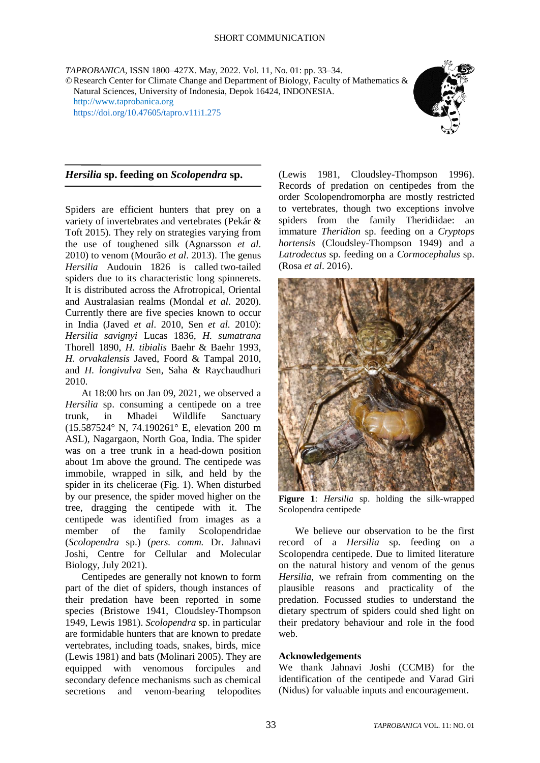*TAPROBANICA*, ISSN 1800–427X. May, 2022. Vol. 11, No. 01: pp. 33–34.

©Research Center for Climate Change and Department of Biology, Faculty of Mathematics & Natural Sciences, University of Indonesia, Depok 16424, INDONESIA. [http://www.taprobanica.org](http://www.taprobanica.org/) <https://doi.org/10.47605/tapro.v11i1.275>



## *Hersilia* **sp. feeding on** *Scolopendra* **sp.**

Spiders are efficient hunters that prey on a variety of invertebrates and vertebrates (Pekár & Toft 2015). They rely on strategies varying from the use of toughened silk (Agnarsson *et al*. 2010) to venom (Mourão *et al*. 2013). The genus *Hersilia* Audouin 1826 is called two-tailed spiders due to its characteristic long spinnerets. It is distributed across the Afrotropical, Oriental and Australasian realms (Mondal *et al*. 2020). Currently there are five species known to occur in India (Javed *et al*. 2010, Sen *et al.* 2010): *Hersilia savignyi* Lucas 1836, *H. sumatrana* Thorell 1890, *H. tibialis* Baehr & Baehr 1993, *H. orvakalensis* Javed, Foord & Tampal 2010, and *H. longivulva* Sen, Saha & Raychaudhuri 2010.

At 18:00 hrs on Jan 09, 2021, we observed a *Hersilia* sp. consuming a centipede on a tree trunk, in Mhadei Wildlife Sanctuary (15.587524° N, 74.190261° E, elevation 200 m ASL), Nagargaon, North Goa, India. The spider was on a tree trunk in a head-down position about 1m above the ground. The centipede was immobile, wrapped in silk, and held by the spider in its chelicerae (Fig. 1). When disturbed by our presence, the spider moved higher on the tree, dragging the centipede with it. The centipede was identified from images as a member of the family Scolopendridae (*Scolopendra* sp.) (*pers. comm.* Dr. Jahnavi Joshi, Centre for Cellular and Molecular Biology, July 2021).

Centipedes are generally not known to form part of the diet of spiders, though instances of their predation have been reported in some species (Bristowe 1941, Cloudsley-Thompson 1949, Lewis 1981). *Scolopendra* sp. in particular are formidable hunters that are known to predate vertebrates, including toads, snakes, birds, mice (Lewis 1981) and bats (Molinari 2005). They are equipped with venomous forcipules and secondary defence mechanisms such as chemical secretions and venom-bearing telopodites

(Lewis 1981, Cloudsley-Thompson 1996). Records of predation on centipedes from the order Scolopendromorpha are mostly restricted to vertebrates, though two exceptions involve spiders from the family Theridiidae: an immature *Theridion* sp. feeding on a *Cryptops hortensis* (Cloudsley-Thompson 1949) and a *Latrodectus* sp. feeding on a *Cormocephalus* sp. (Rosa *et al*. 2016).



**Figure 1**: *Hersilia* sp. holding the silk-wrapped Scolopendra centipede

We believe our observation to be the first record of a *Hersilia* sp. feeding on a Scolopendra centipede. Due to limited literature on the natural history and venom of the genus *Hersilia*, we refrain from commenting on the plausible reasons and practicality of the predation. Focussed studies to understand the dietary spectrum of spiders could shed light on their predatory behaviour and role in the food web.

## **Acknowledgements**

We thank Jahnavi Joshi (CCMB) for the identification of the centipede and Varad Giri (Nidus) for valuable inputs and encouragement.